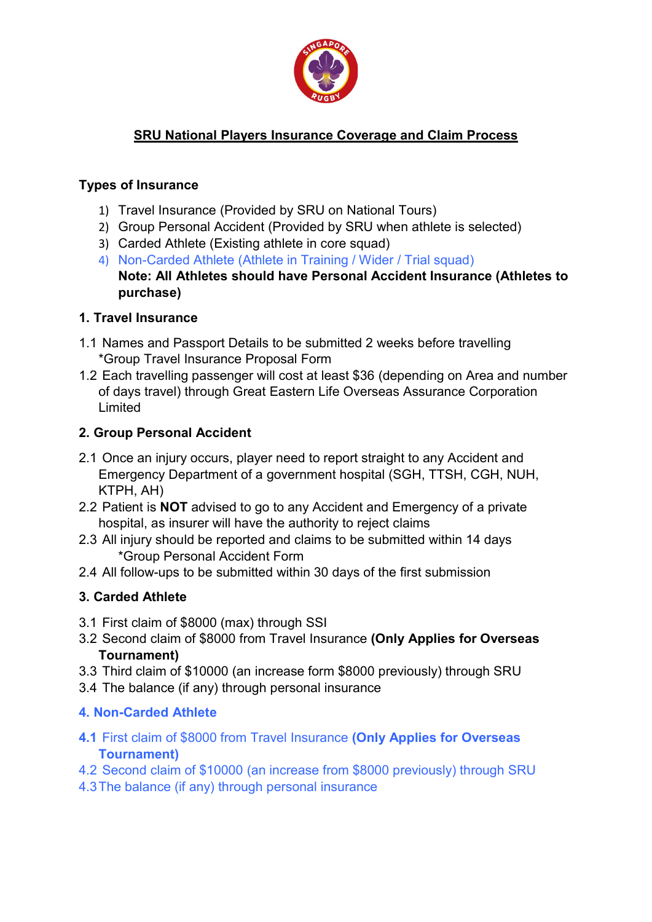

## SRU National Players Insurance Coverage and Claim Process

#### Types of Insurance

- 1) Travel Insurance (Provided by SRU on National Tours)
- 2) Group Personal Accident (Provided by SRU when athlete is selected)
- 3) Carded Athlete (Existing athlete in core squad)
- 4) Non-Carded Athlete (Athlete in Training / Wider / Trial squad) Note: All Athletes should have Personal Accident Insurance (Athletes to purchase)

#### 1. Travel Insurance

- 1.1 Names and Passport Details to be submitted 2 weeks before travelling \*Group Travel Insurance Proposal Form
- 1.2 Each travelling passenger will cost at least \$36 (depending on Area and number of days travel) through Great Eastern Life Overseas Assurance Corporation Limited

#### 2. Group Personal Accident

- 2.1 Once an injury occurs, player need to report straight to any Accident and Emergency Department of a government hospital (SGH, TTSH, CGH, NUH, KTPH, AH)
- 2.2 Patient is **NOT** advised to go to any Accident and Emergency of a private hospital, as insurer will have the authority to reject claims
- 2.3 All injury should be reported and claims to be submitted within 14 days \*Group Personal Accident Form
- 2.4 All follow-ups to be submitted within 30 days of the first submission

## 3. Carded Athlete

- 3.1 First claim of \$8000 (max) through SSI
- 3.2 Second claim of \$8000 from Travel Insurance (Only Applies for Overseas Tournament)
- 3.3 Third claim of \$10000 (an increase form \$8000 previously) through SRU
- 3.4 The balance (if any) through personal insurance

## 4. Non-Carded Athlete

- 4.1 First claim of \$8000 from Travel Insurance (Only Applies for Overseas Tournament)
- 4.2 Second claim of \$10000 (an increase from \$8000 previously) through SRU
- 4.3 The balance (if any) through personal insurance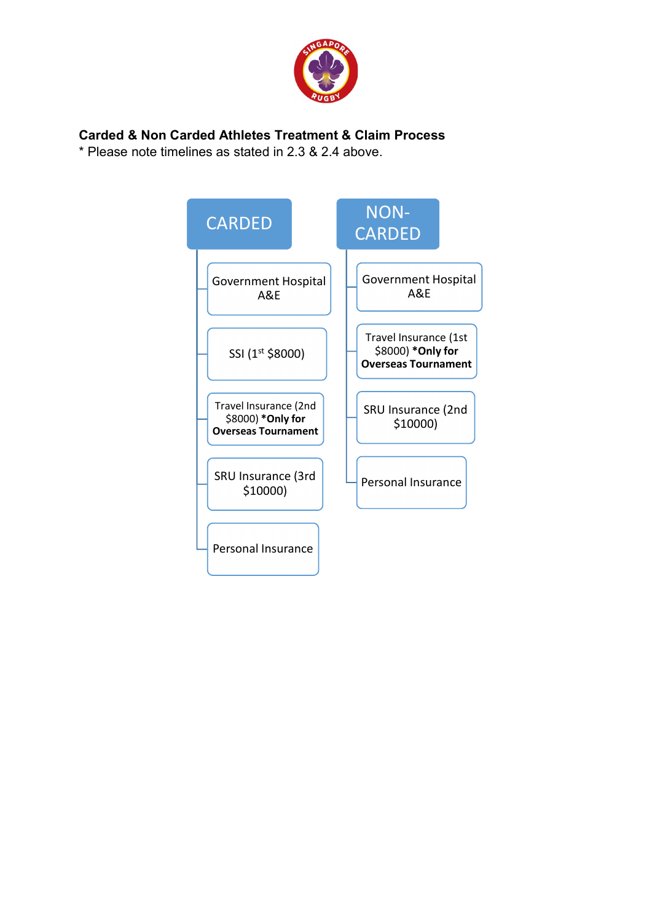

#### Carded & Non Carded Athletes Treatment & Claim Process

\* Please note timelines as stated in 2.3 & 2.4 above.